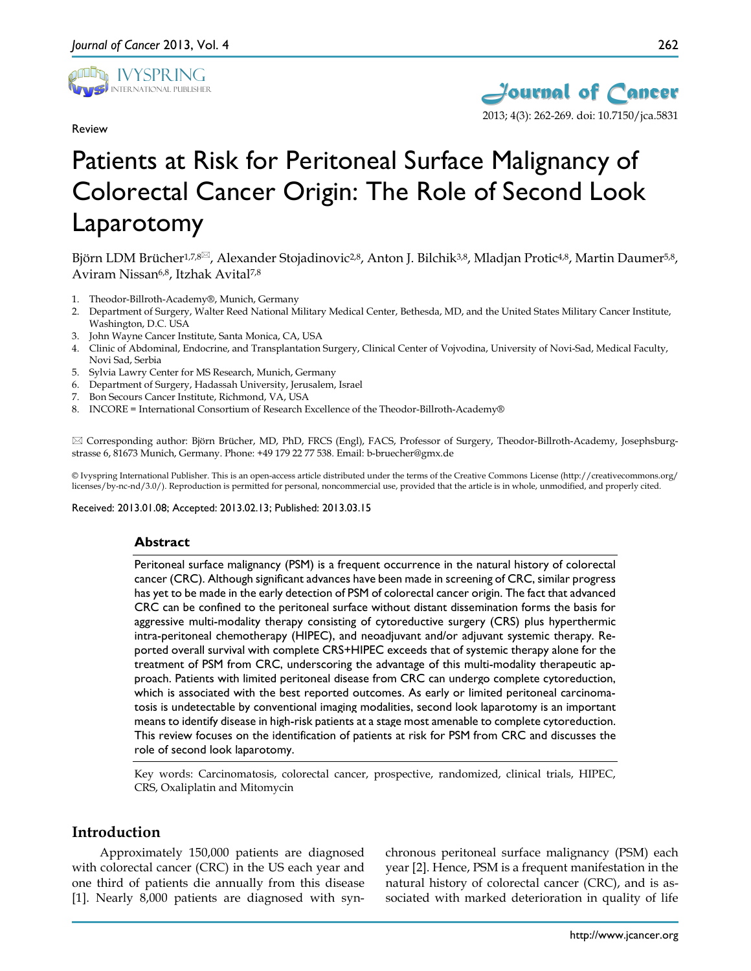

Review



# Patients at Risk for Peritoneal Surface Malignancy of Colorectal Cancer Origin: The Role of Second Look Laparotomy

Björn LDM Brücher<sup>1,7,8 $\approx$ , Alexander Stojadinovic<sup>2,8</sup>, Anton J. Bilchik<sup>3,8</sup>, Mladjan Protic<sup>4,8</sup>, Martin Daumer<sup>5,8</sup>,</sup> Aviram Nissan6,8, Itzhak Avital7,8

- 1. Theodor-Billroth-Academy®, Munich, Germany
- 2. Department of Surgery, Walter Reed National Military Medical Center, Bethesda, MD, and the United States Military Cancer Institute, Washington, D.C. USA
- 3. John Wayne Cancer Institute, Santa Monica, CA, USA
- 4. Clinic of Abdominal, Endocrine, and Transplantation Surgery, Clinical Center of Vojvodina, University of Novi-Sad, Medical Faculty, Novi Sad, Serbia
- 5. Sylvia Lawry Center for MS Research, Munich, Germany
- 6. Department of Surgery, Hadassah University, Jerusalem, Israel
- 7. Bon Secours Cancer Institute, Richmond, VA, USA
- 8. INCORE = International Consortium of Research Excellence of the Theodor-Billroth-Academy®

 Corresponding author: Björn Brücher, MD, PhD, FRCS (Engl), FACS, Professor of Surgery, Theodor-Billroth-Academy, Josephsburgstrasse 6, 81673 Munich, Germany. Phone: +49 179 22 77 538. Email: b-bruecher@gmx.de

© Ivyspring International Publisher. This is an open-access article distributed under the terms of the Creative Commons License (http://creativecommons.org/ licenses/by-nc-nd/3.0/). Reproduction is permitted for personal, noncommercial use, provided that the article is in whole, unmodified, and properly cited.

#### Received: 2013.01.08; Accepted: 2013.02.13; Published: 2013.03.15

#### **Abstract**

Peritoneal surface malignancy (PSM) is a frequent occurrence in the natural history of colorectal cancer (CRC). Although significant advances have been made in screening of CRC, similar progress has yet to be made in the early detection of PSM of colorectal cancer origin. The fact that advanced CRC can be confined to the peritoneal surface without distant dissemination forms the basis for aggressive multi-modality therapy consisting of cytoreductive surgery (CRS) plus hyperthermic intra-peritoneal chemotherapy (HIPEC), and neoadjuvant and/or adjuvant systemic therapy. Reported overall survival with complete CRS+HIPEC exceeds that of systemic therapy alone for the treatment of PSM from CRC, underscoring the advantage of this multi-modality therapeutic approach. Patients with limited peritoneal disease from CRC can undergo complete cytoreduction, which is associated with the best reported outcomes. As early or limited peritoneal carcinomatosis is undetectable by conventional imaging modalities, second look laparotomy is an important means to identify disease in high-risk patients at a stage most amenable to complete cytoreduction. This review focuses on the identification of patients at risk for PSM from CRC and discusses the role of second look laparotomy.

Key words: Carcinomatosis, colorectal cancer, prospective, randomized, clinical trials, HIPEC, CRS, Oxaliplatin and Mitomycin

## **Introduction**

Approximately 150,000 patients are diagnosed with colorectal cancer (CRC) in the US each year and one third of patients die annually from this disease [1]. Nearly 8,000 patients are diagnosed with synchronous peritoneal surface malignancy (PSM) each year [2]. Hence, PSM is a frequent manifestation in the natural history of colorectal cancer (CRC), and is associated with marked deterioration in quality of life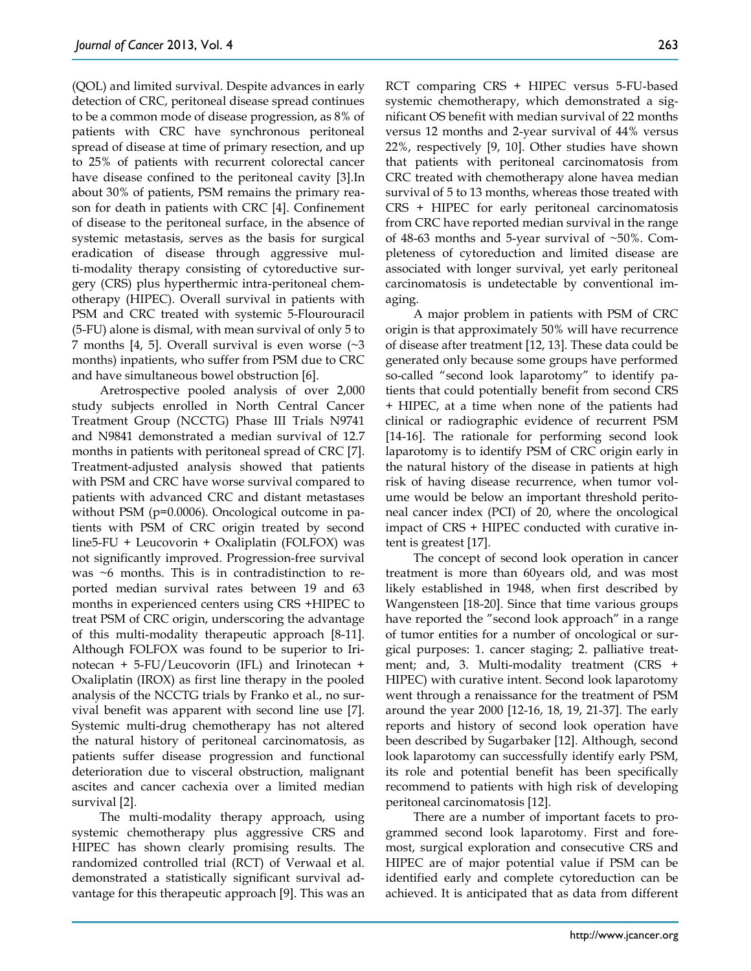(QOL) and limited survival. Despite advances in early detection of CRC, peritoneal disease spread continues to be a common mode of disease progression, as 8% of patients with CRC have synchronous peritoneal spread of disease at time of primary resection, and up to 25% of patients with recurrent colorectal cancer have disease confined to the peritoneal cavity [3].In about 30% of patients, PSM remains the primary reason for death in patients with CRC [4]. Confinement of disease to the peritoneal surface, in the absence of systemic metastasis, serves as the basis for surgical eradication of disease through aggressive multi-modality therapy consisting of cytoreductive surgery (CRS) plus hyperthermic intra-peritoneal chemotherapy (HIPEC). Overall survival in patients with PSM and CRC treated with systemic 5-Flourouracil (5-FU) alone is dismal, with mean survival of only 5 to 7 months [4, 5]. Overall survival is even worse  $\sim$ 3 months) inpatients, who suffer from PSM due to CRC and have simultaneous bowel obstruction [6].

Aretrospective pooled analysis of over 2,000 study subjects enrolled in North Central Cancer Treatment Group (NCCTG) Phase III Trials N9741 and N9841 demonstrated a median survival of 12.7 months in patients with peritoneal spread of CRC [7]. Treatment-adjusted analysis showed that patients with PSM and CRC have worse survival compared to patients with advanced CRC and distant metastases without PSM (p=0.0006). Oncological outcome in patients with PSM of CRC origin treated by second line5-FU + Leucovorin + Oxaliplatin (FOLFOX) was not significantly improved. Progression-free survival was ~6 months. This is in contradistinction to reported median survival rates between 19 and 63 months in experienced centers using CRS +HIPEC to treat PSM of CRC origin, underscoring the advantage of this multi-modality therapeutic approach [8-11]. Although FOLFOX was found to be superior to Irinotecan + 5-FU/Leucovorin (IFL) and Irinotecan + Oxaliplatin (IROX) as first line therapy in the pooled analysis of the NCCTG trials by Franko et al., no survival benefit was apparent with second line use [7]. Systemic multi-drug chemotherapy has not altered the natural history of peritoneal carcinomatosis, as patients suffer disease progression and functional deterioration due to visceral obstruction, malignant ascites and cancer cachexia over a limited median survival [2].

The multi-modality therapy approach, using systemic chemotherapy plus aggressive CRS and HIPEC has shown clearly promising results. The randomized controlled trial (RCT) of Verwaal et al. demonstrated a statistically significant survival advantage for this therapeutic approach [9]. This was an

RCT comparing CRS + HIPEC versus 5-FU-based systemic chemotherapy, which demonstrated a significant OS benefit with median survival of 22 months versus 12 months and 2-year survival of 44% versus 22%, respectively [9, 10]. Other studies have shown that patients with peritoneal carcinomatosis from CRC treated with chemotherapy alone havea median survival of 5 to 13 months, whereas those treated with CRS + HIPEC for early peritoneal carcinomatosis from CRC have reported median survival in the range of 48-63 months and 5-year survival of  $~50\%$ . Completeness of cytoreduction and limited disease are associated with longer survival, yet early peritoneal carcinomatosis is undetectable by conventional imaging.

A major problem in patients with PSM of CRC origin is that approximately 50% will have recurrence of disease after treatment [12, 13]. These data could be generated only because some groups have performed so-called "second look laparotomy" to identify patients that could potentially benefit from second CRS + HIPEC, at a time when none of the patients had clinical or radiographic evidence of recurrent PSM [14-16]. The rationale for performing second look laparotomy is to identify PSM of CRC origin early in the natural history of the disease in patients at high risk of having disease recurrence, when tumor volume would be below an important threshold peritoneal cancer index (PCI) of 20, where the oncological impact of CRS + HIPEC conducted with curative intent is greatest [17].

The concept of second look operation in cancer treatment is more than 60years old, and was most likely established in 1948, when first described by Wangensteen [18-20]. Since that time various groups have reported the "second look approach" in a range of tumor entities for a number of oncological or surgical purposes: 1. cancer staging; 2. palliative treatment; and, 3. Multi-modality treatment (CRS + HIPEC) with curative intent. Second look laparotomy went through a renaissance for the treatment of PSM around the year 2000 [12-16, 18, 19, 21-37]. The early reports and history of second look operation have been described by Sugarbaker [12]. Although, second look laparotomy can successfully identify early PSM, its role and potential benefit has been specifically recommend to patients with high risk of developing peritoneal carcinomatosis [12].

There are a number of important facets to programmed second look laparotomy. First and foremost, surgical exploration and consecutive CRS and HIPEC are of major potential value if PSM can be identified early and complete cytoreduction can be achieved. It is anticipated that as data from different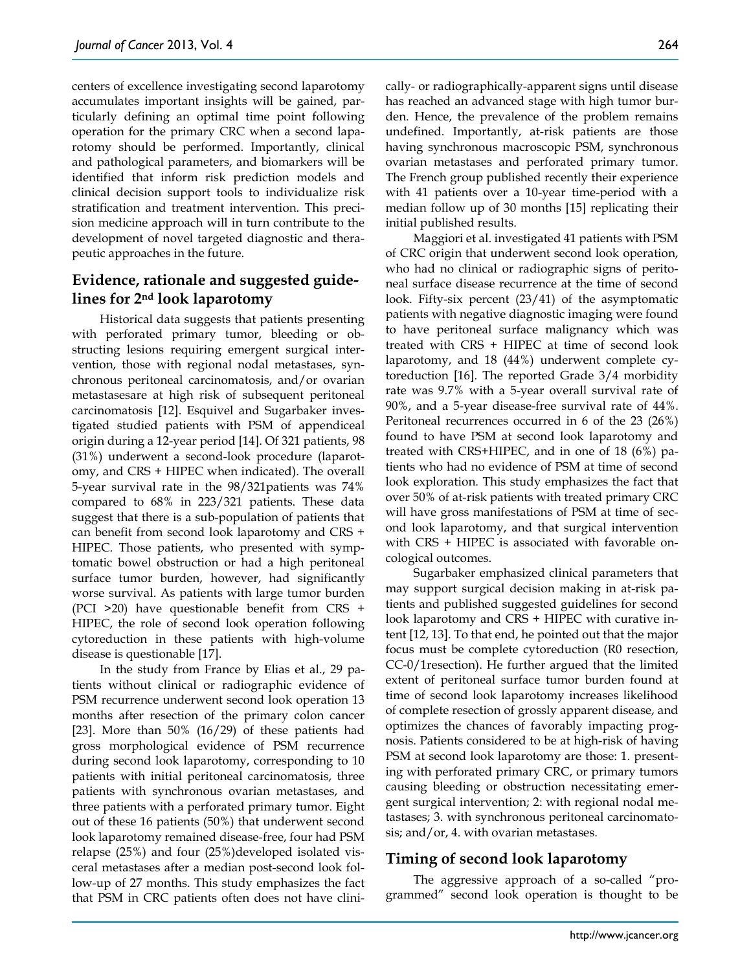centers of excellence investigating second laparotomy accumulates important insights will be gained, particularly defining an optimal time point following operation for the primary CRC when a second laparotomy should be performed. Importantly, clinical and pathological parameters, and biomarkers will be identified that inform risk prediction models and clinical decision support tools to individualize risk stratification and treatment intervention. This precision medicine approach will in turn contribute to the development of novel targeted diagnostic and therapeutic approaches in the future.

# **Evidence, rationale and suggested guidelines for 2nd look laparotomy**

Historical data suggests that patients presenting with perforated primary tumor, bleeding or obstructing lesions requiring emergent surgical intervention, those with regional nodal metastases, synchronous peritoneal carcinomatosis, and/or ovarian metastasesare at high risk of subsequent peritoneal carcinomatosis [12]. Esquivel and Sugarbaker investigated studied patients with PSM of appendiceal origin during a 12-year period [14]. Of 321 patients, 98 (31%) underwent a second-look procedure (laparotomy, and CRS + HIPEC when indicated). The overall 5-year survival rate in the 98/321patients was 74% compared to 68% in 223/321 patients. These data suggest that there is a sub-population of patients that can benefit from second look laparotomy and CRS + HIPEC. Those patients, who presented with symptomatic bowel obstruction or had a high peritoneal surface tumor burden, however, had significantly worse survival. As patients with large tumor burden (PCI >20) have questionable benefit from CRS + HIPEC, the role of second look operation following cytoreduction in these patients with high-volume disease is questionable [17].

In the study from France by Elias et al., 29 patients without clinical or radiographic evidence of PSM recurrence underwent second look operation 13 months after resection of the primary colon cancer [23]. More than  $50\%$  (16/29) of these patients had gross morphological evidence of PSM recurrence during second look laparotomy, corresponding to 10 patients with initial peritoneal carcinomatosis, three patients with synchronous ovarian metastases, and three patients with a perforated primary tumor. Eight out of these 16 patients (50%) that underwent second look laparotomy remained disease-free, four had PSM relapse (25%) and four (25%)developed isolated visceral metastases after a median post-second look follow-up of 27 months. This study emphasizes the fact that PSM in CRC patients often does not have clinically- or radiographically-apparent signs until disease has reached an advanced stage with high tumor burden. Hence, the prevalence of the problem remains undefined. Importantly, at-risk patients are those having synchronous macroscopic PSM, synchronous ovarian metastases and perforated primary tumor. The French group published recently their experience with 41 patients over a 10-year time-period with a median follow up of 30 months [15] replicating their initial published results.

Maggiori et al. investigated 41 patients with PSM of CRC origin that underwent second look operation, who had no clinical or radiographic signs of peritoneal surface disease recurrence at the time of second look. Fifty-six percent (23/41) of the asymptomatic patients with negative diagnostic imaging were found to have peritoneal surface malignancy which was treated with CRS + HIPEC at time of second look laparotomy, and 18 (44%) underwent complete cytoreduction [16]. The reported Grade 3/4 morbidity rate was 9.7% with a 5-year overall survival rate of 90%, and a 5-year disease-free survival rate of 44%. Peritoneal recurrences occurred in 6 of the 23 (26%) found to have PSM at second look laparotomy and treated with CRS+HIPEC, and in one of 18 (6%) patients who had no evidence of PSM at time of second look exploration. This study emphasizes the fact that over 50% of at-risk patients with treated primary CRC will have gross manifestations of PSM at time of second look laparotomy, and that surgical intervention with CRS + HIPEC is associated with favorable oncological outcomes.

Sugarbaker emphasized clinical parameters that may support surgical decision making in at-risk patients and published suggested guidelines for second look laparotomy and CRS + HIPEC with curative intent [12, 13]. To that end, he pointed out that the major focus must be complete cytoreduction (R0 resection, CC-0/1resection). He further argued that the limited extent of peritoneal surface tumor burden found at time of second look laparotomy increases likelihood of complete resection of grossly apparent disease, and optimizes the chances of favorably impacting prognosis. Patients considered to be at high-risk of having PSM at second look laparotomy are those: 1. presenting with perforated primary CRC, or primary tumors causing bleeding or obstruction necessitating emergent surgical intervention; 2: with regional nodal metastases; 3. with synchronous peritoneal carcinomatosis; and/or, 4. with ovarian metastases.

# **Timing of second look laparotomy**

The aggressive approach of a so-called "programmed" second look operation is thought to be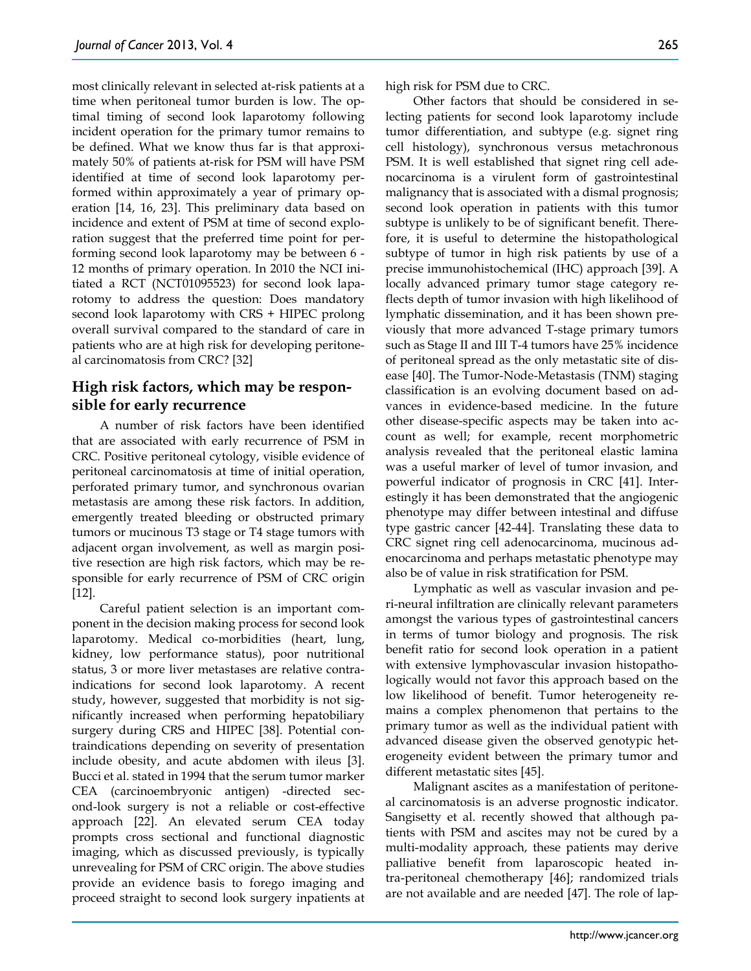most clinically relevant in selected at-risk patients at a time when peritoneal tumor burden is low. The optimal timing of second look laparotomy following incident operation for the primary tumor remains to be defined. What we know thus far is that approximately 50% of patients at-risk for PSM will have PSM identified at time of second look laparotomy performed within approximately a year of primary operation [14, 16, 23]. This preliminary data based on incidence and extent of PSM at time of second exploration suggest that the preferred time point for performing second look laparotomy may be between 6 - 12 months of primary operation. In 2010 the NCI initiated a RCT (NCT01095523) for second look laparotomy to address the question: Does mandatory second look laparotomy with CRS + HIPEC prolong overall survival compared to the standard of care in patients who are at high risk for developing peritoneal carcinomatosis from CRC? [32]

# **High risk factors, which may be responsible for early recurrence**

A number of risk factors have been identified that are associated with early recurrence of PSM in CRC. Positive peritoneal cytology, visible evidence of peritoneal carcinomatosis at time of initial operation, perforated primary tumor, and synchronous ovarian metastasis are among these risk factors. In addition, emergently treated bleeding or obstructed primary tumors or mucinous T3 stage or T4 stage tumors with adjacent organ involvement, as well as margin positive resection are high risk factors, which may be responsible for early recurrence of PSM of CRC origin [12].

Careful patient selection is an important component in the decision making process for second look laparotomy. Medical co-morbidities (heart, lung, kidney, low performance status), poor nutritional status, 3 or more liver metastases are relative contraindications for second look laparotomy. A recent study, however, suggested that morbidity is not significantly increased when performing hepatobiliary surgery during CRS and HIPEC [38]. Potential contraindications depending on severity of presentation include obesity, and acute abdomen with ileus [3]. Bucci et al. stated in 1994 that the serum tumor marker CEA (carcinoembryonic antigen) -directed second-look surgery is not a reliable or cost-effective approach [22]. An elevated serum CEA today prompts cross sectional and functional diagnostic imaging, which as discussed previously, is typically unrevealing for PSM of CRC origin. The above studies provide an evidence basis to forego imaging and proceed straight to second look surgery inpatients at

265

high risk for PSM due to CRC.

Other factors that should be considered in selecting patients for second look laparotomy include tumor differentiation, and subtype (e.g. signet ring cell histology), synchronous versus metachronous PSM. It is well established that signet ring cell adenocarcinoma is a virulent form of gastrointestinal malignancy that is associated with a dismal prognosis; second look operation in patients with this tumor subtype is unlikely to be of significant benefit. Therefore, it is useful to determine the histopathological subtype of tumor in high risk patients by use of a precise immunohistochemical (IHC) approach [39]. A locally advanced primary tumor stage category reflects depth of tumor invasion with high likelihood of lymphatic dissemination, and it has been shown previously that more advanced T-stage primary tumors such as Stage II and III T-4 tumors have 25% incidence of peritoneal spread as the only metastatic site of disease [40]. The Tumor-Node-Metastasis (TNM) staging classification is an evolving document based on advances in evidence-based medicine. In the future other disease-specific aspects may be taken into account as well; for example, recent morphometric analysis revealed that the peritoneal elastic lamina was a useful marker of level of tumor invasion, and powerful indicator of prognosis in CRC [41]. Interestingly it has been demonstrated that the angiogenic phenotype may differ between intestinal and diffuse type gastric cancer [42-44]. Translating these data to CRC signet ring cell adenocarcinoma, mucinous adenocarcinoma and perhaps metastatic phenotype may also be of value in risk stratification for PSM.

Lymphatic as well as vascular invasion and peri-neural infiltration are clinically relevant parameters amongst the various types of gastrointestinal cancers in terms of tumor biology and prognosis. The risk benefit ratio for second look operation in a patient with extensive lymphovascular invasion histopathologically would not favor this approach based on the low likelihood of benefit. Tumor heterogeneity remains a complex phenomenon that pertains to the primary tumor as well as the individual patient with advanced disease given the observed genotypic heterogeneity evident between the primary tumor and different metastatic sites [45].

Malignant ascites as a manifestation of peritoneal carcinomatosis is an adverse prognostic indicator. Sangisetty et al. recently showed that although patients with PSM and ascites may not be cured by a multi-modality approach, these patients may derive palliative benefit from laparoscopic heated intra-peritoneal chemotherapy [46]; randomized trials are not available and are needed [47]. The role of lap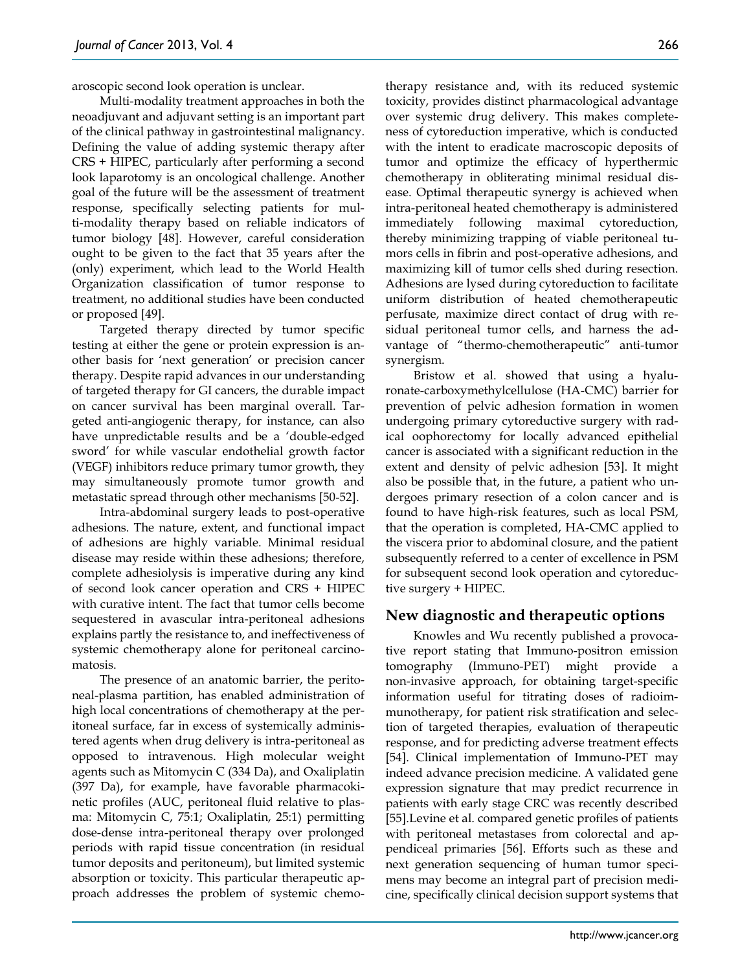aroscopic second look operation is unclear.

Multi-modality treatment approaches in both the neoadjuvant and adjuvant setting is an important part of the clinical pathway in gastrointestinal malignancy. Defining the value of adding systemic therapy after CRS + HIPEC, particularly after performing a second look laparotomy is an oncological challenge. Another goal of the future will be the assessment of treatment response, specifically selecting patients for multi-modality therapy based on reliable indicators of tumor biology [48]. However, careful consideration ought to be given to the fact that 35 years after the (only) experiment, which lead to the World Health Organization classification of tumor response to treatment, no additional studies have been conducted or proposed [49].

Targeted therapy directed by tumor specific testing at either the gene or protein expression is another basis for 'next generation' or precision cancer therapy. Despite rapid advances in our understanding of targeted therapy for GI cancers, the durable impact on cancer survival has been marginal overall. Targeted anti-angiogenic therapy, for instance, can also have unpredictable results and be a 'double-edged sword' for while vascular endothelial growth factor (VEGF) inhibitors reduce primary tumor growth, they may simultaneously promote tumor growth and metastatic spread through other mechanisms [50-52].

Intra-abdominal surgery leads to post-operative adhesions. The nature, extent, and functional impact of adhesions are highly variable. Minimal residual disease may reside within these adhesions; therefore, complete adhesiolysis is imperative during any kind of second look cancer operation and CRS + HIPEC with curative intent. The fact that tumor cells become sequestered in avascular intra-peritoneal adhesions explains partly the resistance to, and ineffectiveness of systemic chemotherapy alone for peritoneal carcinomatosis.

The presence of an anatomic barrier, the peritoneal-plasma partition, has enabled administration of high local concentrations of chemotherapy at the peritoneal surface, far in excess of systemically administered agents when drug delivery is intra-peritoneal as opposed to intravenous. High molecular weight agents such as Mitomycin C (334 Da), and Oxaliplatin (397 Da), for example, have favorable pharmacokinetic profiles (AUC, peritoneal fluid relative to plasma: Mitomycin C, 75:1; Oxaliplatin, 25:1) permitting dose-dense intra-peritoneal therapy over prolonged periods with rapid tissue concentration (in residual tumor deposits and peritoneum), but limited systemic absorption or toxicity. This particular therapeutic approach addresses the problem of systemic chemotherapy resistance and, with its reduced systemic toxicity, provides distinct pharmacological advantage over systemic drug delivery. This makes completeness of cytoreduction imperative, which is conducted with the intent to eradicate macroscopic deposits of tumor and optimize the efficacy of hyperthermic chemotherapy in obliterating minimal residual disease. Optimal therapeutic synergy is achieved when intra-peritoneal heated chemotherapy is administered immediately following maximal cytoreduction, thereby minimizing trapping of viable peritoneal tumors cells in fibrin and post-operative adhesions, and maximizing kill of tumor cells shed during resection. Adhesions are lysed during cytoreduction to facilitate uniform distribution of heated chemotherapeutic perfusate, maximize direct contact of drug with residual peritoneal tumor cells, and harness the advantage of "thermo-chemotherapeutic" anti-tumor synergism.

Bristow et al. showed that using a hyaluronate-carboxymethylcellulose (HA-CMC) barrier for prevention of pelvic adhesion formation in women undergoing primary cytoreductive surgery with radical oophorectomy for locally advanced epithelial cancer is associated with a significant reduction in the extent and density of pelvic adhesion [53]. It might also be possible that, in the future, a patient who undergoes primary resection of a colon cancer and is found to have high-risk features, such as local PSM, that the operation is completed, HA-CMC applied to the viscera prior to abdominal closure, and the patient subsequently referred to a center of excellence in PSM for subsequent second look operation and cytoreductive surgery + HIPEC.

#### **New diagnostic and therapeutic options**

Knowles and Wu recently published a provocative report stating that Immuno-positron emission tomography (Immuno-PET) might provide a non-invasive approach, for obtaining target-specific information useful for titrating doses of radioimmunotherapy, for patient risk stratification and selection of targeted therapies, evaluation of therapeutic response, and for predicting adverse treatment effects [54]. Clinical implementation of Immuno-PET may indeed advance precision medicine. A validated gene expression signature that may predict recurrence in patients with early stage CRC was recently described [55].Levine et al. compared genetic profiles of patients with peritoneal metastases from colorectal and appendiceal primaries [56]. Efforts such as these and next generation sequencing of human tumor specimens may become an integral part of precision medicine, specifically clinical decision support systems that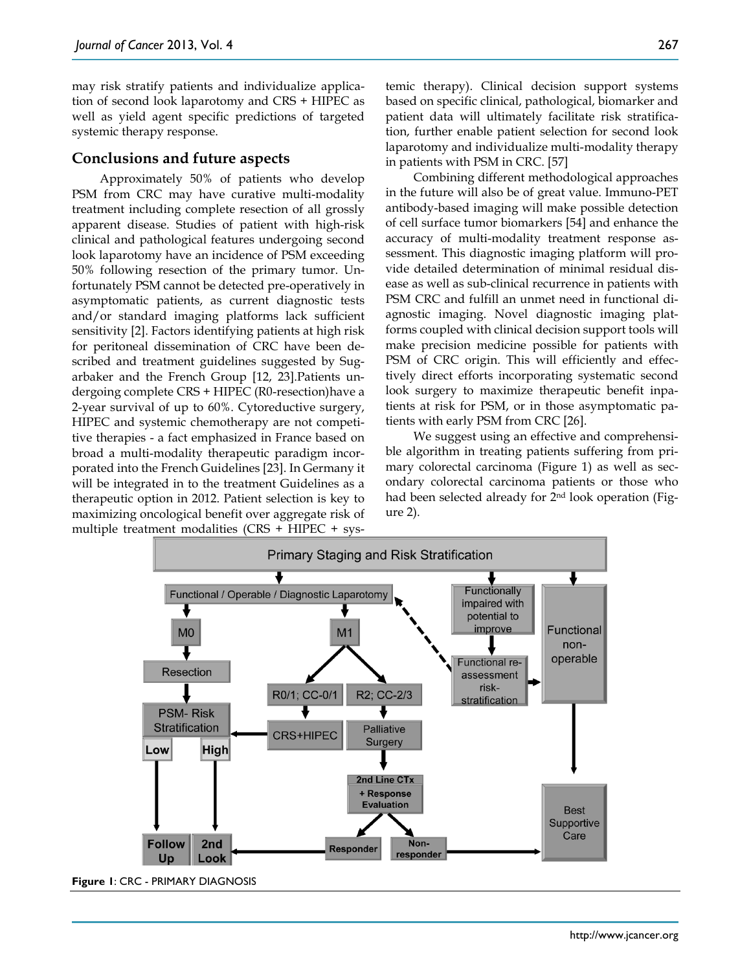may risk stratify patients and individualize application of second look laparotomy and CRS + HIPEC as well as yield agent specific predictions of targeted systemic therapy response.

#### **Conclusions and future aspects**

Approximately 50% of patients who develop PSM from CRC may have curative multi-modality treatment including complete resection of all grossly apparent disease. Studies of patient with high-risk clinical and pathological features undergoing second look laparotomy have an incidence of PSM exceeding 50% following resection of the primary tumor. Unfortunately PSM cannot be detected pre-operatively in asymptomatic patients, as current diagnostic tests and/or standard imaging platforms lack sufficient sensitivity [2]. Factors identifying patients at high risk for peritoneal dissemination of CRC have been described and treatment guidelines suggested by Sugarbaker and the French Group [12, 23].Patients undergoing complete CRS + HIPEC (R0-resection)have a 2-year survival of up to 60%. Cytoreductive surgery, HIPEC and systemic chemotherapy are not competitive therapies - a fact emphasized in France based on broad a multi-modality therapeutic paradigm incorporated into the French Guidelines [23]. In Germany it will be integrated in to the treatment Guidelines as a therapeutic option in 2012. Patient selection is key to maximizing oncological benefit over aggregate risk of multiple treatment modalities (CRS + HIPEC + systemic therapy). Clinical decision support systems based on specific clinical, pathological, biomarker and patient data will ultimately facilitate risk stratification, further enable patient selection for second look laparotomy and individualize multi-modality therapy in patients with PSM in CRC. [57]

Combining different methodological approaches in the future will also be of great value. Immuno-PET antibody-based imaging will make possible detection of cell surface tumor biomarkers [54] and enhance the accuracy of multi-modality treatment response assessment. This diagnostic imaging platform will provide detailed determination of minimal residual disease as well as sub-clinical recurrence in patients with PSM CRC and fulfill an unmet need in functional diagnostic imaging. Novel diagnostic imaging platforms coupled with clinical decision support tools will make precision medicine possible for patients with PSM of CRC origin. This will efficiently and effectively direct efforts incorporating systematic second look surgery to maximize therapeutic benefit inpatients at risk for PSM, or in those asymptomatic patients with early PSM from CRC [26].

We suggest using an effective and comprehensible algorithm in treating patients suffering from primary colorectal carcinoma (Figure 1) as well as secondary colorectal carcinoma patients or those who had been selected already for 2nd look operation (Figure 2).



**Figure 1**: CRC - PRIMARY DIAGNOSIS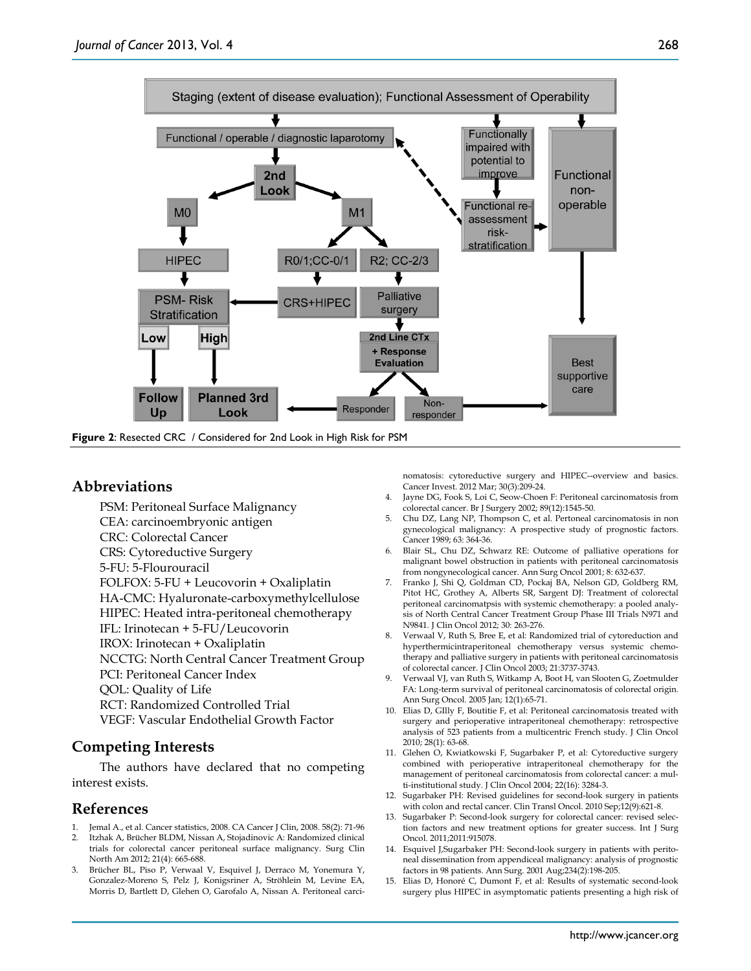

**Figure 2**: Resected CRC / Considered for 2nd Look in High Risk for PSM

### **Abbreviations**

PSM: Peritoneal Surface Malignancy CEA: carcinoembryonic antigen CRC: Colorectal Cancer CRS: Cytoreductive Surgery 5-FU: 5-Flourouracil FOLFOX: 5-FU + Leucovorin + Oxaliplatin HA-CMC: Hyaluronate-carboxymethylcellulose HIPEC: Heated intra-peritoneal chemotherapy IFL: Irinotecan + 5-FU/Leucovorin IROX: Irinotecan + Oxaliplatin NCCTG: North Central Cancer Treatment Group PCI: Peritoneal Cancer Index QOL: Quality of Life RCT: Randomized Controlled Trial VEGF: Vascular Endothelial Growth Factor

# **Competing Interests**

The authors have declared that no competing interest exists.

## **References**

- Jemal A., et al. Cancer statistics, 2008. CA Cancer J Clin, 2008. 58(2): 71-96
- 2. Itzhak A, Brücher BLDM, Nissan A, Stojadinovic A: Randomized clinical trials for colorectal cancer peritoneal surface malignancy. Surg Clin North Am 2012; 21(4): 665-688.
- 3. Brücher BL, Piso P, Verwaal V, Esquivel J, Derraco M, Yonemura Y, Gonzalez-Moreno S, Pelz J, Konigsriner A, Ströhlein M, Levine EA, Morris D, Bartlett D, Glehen O, Garofalo A, Nissan A. Peritoneal carci-

nomatosis: cytoreductive surgery and HIPEC--overview and basics. Cancer Invest. 2012 Mar; 30(3):209-24.

- Jayne DG, Fook S, Loi C, Seow-Choen F: Peritoneal carcinomatosis from colorectal cancer. Br J Surgery 2002; 89(12):1545-50.
- 5. Chu DZ, Lang NP, Thompson C, et al. Pertoneal carcinomatosis in non gynecological malignancy: A prospective study of prognostic factors. Cancer 1989; 63: 364-36.
- 6. Blair SL, Chu DZ, Schwarz RE: Outcome of palliative operations for malignant bowel obstruction in patients with peritoneal carcinomatosis from nongynecological cancer. Ann Surg Oncol 2001; 8: 632-637.
- 7. Franko J, Shi Q, Goldman CD, Pockaj BA, Nelson GD, Goldberg RM, Pitot HC, Grothey A, Alberts SR, Sargent DJ: Treatment of colorectal peritoneal carcinomatpsis with systemic chemotherapy: a pooled analysis of North Central Cancer Treatment Group Phase III Trials N971 and N9841. J Clin Oncol 2012; 30: 263-276.
- 8. Verwaal V, Ruth S, Bree E, et al: Randomized trial of cytoreduction and hyperthermicintraperitoneal chemotherapy versus systemic chemotherapy and palliative surgery in patients with peritoneal carcinomatosis of colorectal cancer. J Clin Oncol 2003; 21:3737-3743.
- 9. Verwaal VJ, van Ruth S, Witkamp A, Boot H, van Slooten G, Zoetmulder FA: Long-term survival of peritoneal carcinomatosis of colorectal origin. Ann Surg Oncol. 2005 Jan; 12(1):65-71.
- 10. Elias D, GIlly F, Boutitie F, et al: Peritoneal carcinomatosis treated with surgery and perioperative intraperitoneal chemotherapy: retrospective analysis of 523 patients from a multicentric French study. J Clin Oncol 2010; 28(1): 63-68.
- 11. Glehen O, Kwiatkowski F, Sugarbaker P, et al: Cytoreductive surgery combined with perioperative intraperitoneal chemotherapy for the management of peritoneal carcinomatosis from colorectal cancer: a multi-institutional study. J Clin Oncol 2004; 22(16): 3284-3.
- 12. Sugarbaker PH: Revised guidelines for second-look surgery in patients with colon and rectal cancer. Clin Transl Oncol. 2010 Sep;12(9):621-8.
- 13. Sugarbaker P: Second-look surgery for colorectal cancer: revised selection factors and new treatment options for greater success. Int J Surg Oncol. 2011;2011:915078.
- 14. Esquivel J,Sugarbaker PH: Second-look surgery in patients with peritoneal dissemination from appendiceal malignancy: analysis of prognostic factors in 98 patients. Ann Surg. 2001 Aug;234(2):198-205.
- 15. Elias D, Honoré C, Dumont F, et al: Results of systematic second-look surgery plus HIPEC in asymptomatic patients presenting a high risk of